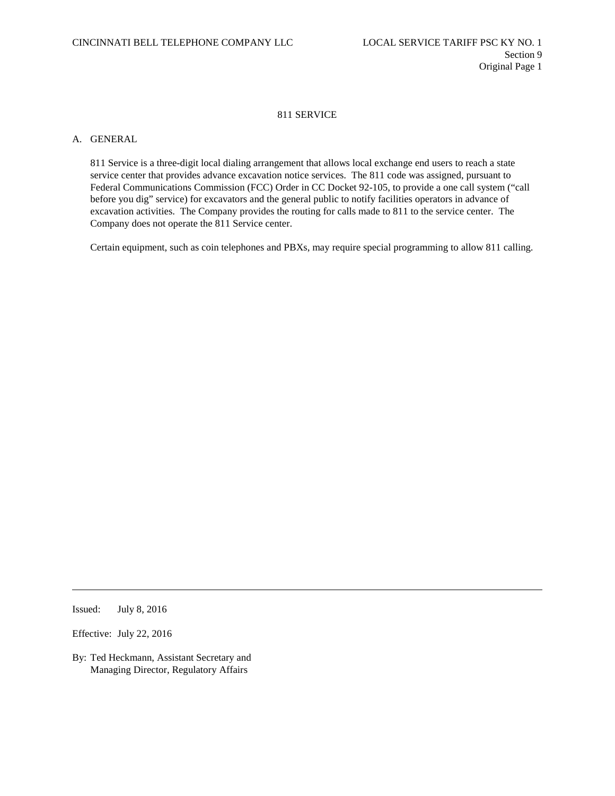## 811 SERVICE

## A. GENERAL

811 Service is a three-digit local dialing arrangement that allows local exchange end users to reach a state service center that provides advance excavation notice services. The 811 code was assigned, pursuant to Federal Communications Commission (FCC) Order in CC Docket 92-105, to provide a one call system ("call before you dig" service) for excavators and the general public to notify facilities operators in advance of excavation activities. The Company provides the routing for calls made to 811 to the service center. The Company does not operate the 811 Service center.

Certain equipment, such as coin telephones and PBXs, may require special programming to allow 811 calling.

Issued: July 8, 2016

Effective: July 22, 2016

By: Ted Heckmann, Assistant Secretary and Managing Director, Regulatory Affairs